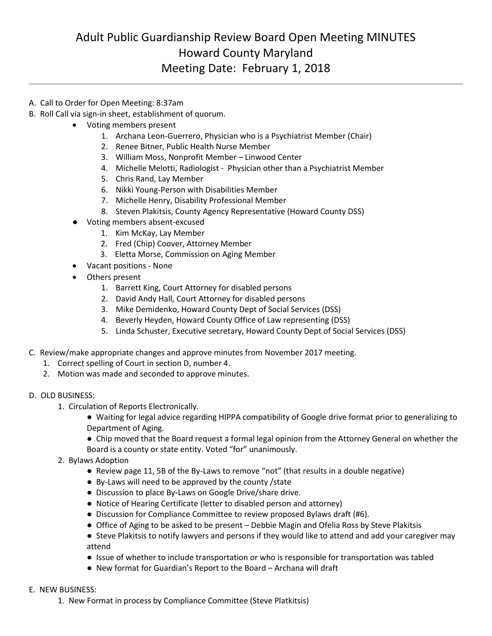## Adult Public Guardianship Review Board Open Meeting MINUTES Howard County Maryland Meeting Date: February 1, 2018

- A. Call to Order for Open Meeting: 8:37am
- B. Roll Call via sign-in sheet, establishment of quorum.
	- Voting members present
		- 1. Archana Leon-Guerrero, Physician who is a Psychiatrist Member (Chair)
		- 2. Renee Bitner, Public Health Nurse Member
		- 3. William Moss, Nonprofit Member Linwood Center
		- 4. Michelle Melotti, Radiologist Physician other than a Psychiatrist Member
		- 5. Chris Rand, Lay Member
		- 6. Nikki Young-Person with Disabilities Member
		- 7. Michelle Henry, Disability Professional Member
		- 8. Steven Plakitsis, County Agency Representative (Howard County DSS)
		- Voting members absent-excused
			- 1. Kim McKay, Lay Member
			- 2. Fred (Chip) Coover, Attorney Member
			- 3. Eletta Morse, Commission on Aging Member
	- Vacant positions None
	- Others present
		- 1. Barrett King, Court Attorney for disabled persons
		- 2. David Andy Hall, Court Attorney for disabled persons
		- 3. Mike Demidenko, Howard County Dept of Social Services (DSS)
		- 4. Beverly Heyden, Howard County Office of Law representing (DSS)
		- 5. Linda Schuster, Executive secretary, Howard County Dept of Social Services (DSS)
- C. Review/make appropriate changes and approve minutes from November 2017 meeting.
	- 1. Correct spelling of Court in section D, number 4.
	- 2. Motion was made and seconded to approve minutes.

## D. OLD BUSINESS:

- 1. Circulation of Reports Electronically.
	- Waiting for legal advice regarding HIPPA compatibility of Google drive format prior to generalizing to Department of Aging.
	- Chip moved that the Board request a formal legal opinion from the Attorney General on whether the
	- Board is a county or state entity. Voted "for" unanimously.
- 2. Bylaws Adoption
	- Review page 11, 5B of the By-Laws to remove "not" (that results in a double negative)
	- By-Laws will need to be approved by the county /state
	- Discussion to place By-Laws on Google Drive/share drive.
	- Notice of Hearing Certificate (letter to disabled person and attorney)
	- Discussion for Compliance Committee to review proposed Bylaws draft (#6).
	- Office of Aging to be asked to be present Debbie Magin and Ofelia Ross by Steve Plakitsis
	- Steve Plakitsis to notify lawyers and persons if they would like to attend and add your caregiver may attend
	- Issue of whether to include transportation or who is responsible for transportation was tabled
	- New format for Guardian's Report to the Board Archana will draft

## E. NEW BUSINESS:

1. New Format in process by Compliance Committee (Steve Platkitsis)